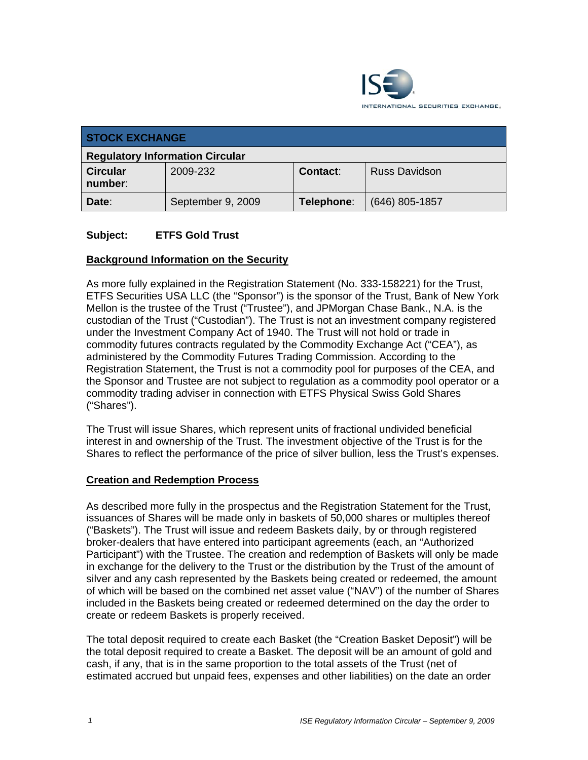

| <b>STOCK EXCHANGE</b>                  |                   |                 |                      |
|----------------------------------------|-------------------|-----------------|----------------------|
| <b>Regulatory Information Circular</b> |                   |                 |                      |
| <b>Circular</b><br>number:             | 2009-232          | <b>Contact:</b> | <b>Russ Davidson</b> |
| Date:                                  | September 9, 2009 | Telephone:      | $(646)$ 805-1857     |

## **Subject: ETFS Gold Trust**

## **Background Information on the Security**

As more fully explained in the Registration Statement (No. 333-158221) for the Trust, ETFS Securities USA LLC (the "Sponsor") is the sponsor of the Trust, Bank of New York Mellon is the trustee of the Trust ("Trustee"), and JPMorgan Chase Bank., N.A. is the custodian of the Trust ("Custodian"). The Trust is not an investment company registered under the Investment Company Act of 1940. The Trust will not hold or trade in commodity futures contracts regulated by the Commodity Exchange Act ("CEA"), as administered by the Commodity Futures Trading Commission. According to the Registration Statement, the Trust is not a commodity pool for purposes of the CEA, and the Sponsor and Trustee are not subject to regulation as a commodity pool operator or a commodity trading adviser in connection with ETFS Physical Swiss Gold Shares ("Shares").

The Trust will issue Shares, which represent units of fractional undivided beneficial interest in and ownership of the Trust. The investment objective of the Trust is for the Shares to reflect the performance of the price of silver bullion, less the Trust's expenses.

#### **Creation and Redemption Process**

As described more fully in the prospectus and the Registration Statement for the Trust, issuances of Shares will be made only in baskets of 50,000 shares or multiples thereof ("Baskets"). The Trust will issue and redeem Baskets daily, by or through registered broker-dealers that have entered into participant agreements (each, an "Authorized Participant") with the Trustee. The creation and redemption of Baskets will only be made in exchange for the delivery to the Trust or the distribution by the Trust of the amount of silver and any cash represented by the Baskets being created or redeemed, the amount of which will be based on the combined net asset value ("NAV") of the number of Shares included in the Baskets being created or redeemed determined on the day the order to create or redeem Baskets is properly received.

The total deposit required to create each Basket (the "Creation Basket Deposit") will be the total deposit required to create a Basket. The deposit will be an amount of gold and cash, if any, that is in the same proportion to the total assets of the Trust (net of estimated accrued but unpaid fees, expenses and other liabilities) on the date an order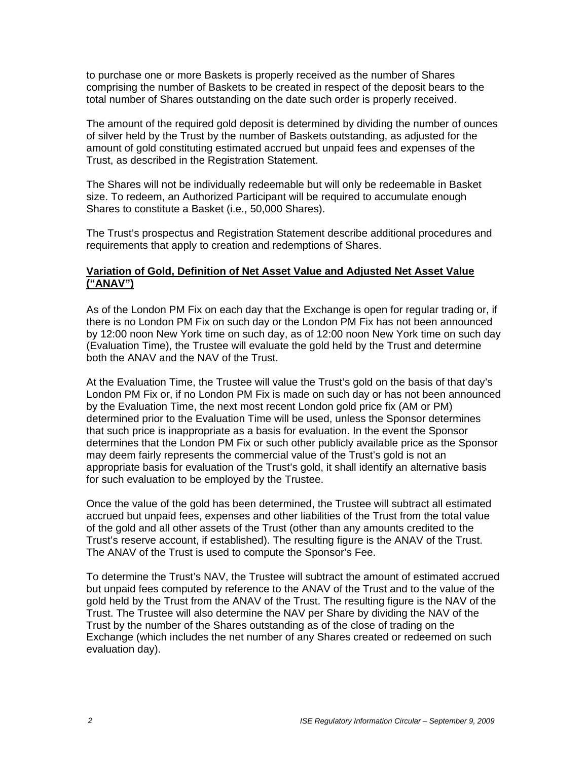to purchase one or more Baskets is properly received as the number of Shares comprising the number of Baskets to be created in respect of the deposit bears to the total number of Shares outstanding on the date such order is properly received.

The amount of the required gold deposit is determined by dividing the number of ounces of silver held by the Trust by the number of Baskets outstanding, as adjusted for the amount of gold constituting estimated accrued but unpaid fees and expenses of the Trust, as described in the Registration Statement.

The Shares will not be individually redeemable but will only be redeemable in Basket size. To redeem, an Authorized Participant will be required to accumulate enough Shares to constitute a Basket (i.e., 50,000 Shares).

The Trust's prospectus and Registration Statement describe additional procedures and requirements that apply to creation and redemptions of Shares.

#### **Variation of Gold, Definition of Net Asset Value and Adjusted Net Asset Value ("ANAV")**

As of the London PM Fix on each day that the Exchange is open for regular trading or, if there is no London PM Fix on such day or the London PM Fix has not been announced by 12:00 noon New York time on such day, as of 12:00 noon New York time on such day (Evaluation Time), the Trustee will evaluate the gold held by the Trust and determine both the ANAV and the NAV of the Trust.

At the Evaluation Time, the Trustee will value the Trust's gold on the basis of that day's London PM Fix or, if no London PM Fix is made on such day or has not been announced by the Evaluation Time, the next most recent London gold price fix (AM or PM) determined prior to the Evaluation Time will be used, unless the Sponsor determines that such price is inappropriate as a basis for evaluation. In the event the Sponsor determines that the London PM Fix or such other publicly available price as the Sponsor may deem fairly represents the commercial value of the Trust's gold is not an appropriate basis for evaluation of the Trust's gold, it shall identify an alternative basis for such evaluation to be employed by the Trustee.

Once the value of the gold has been determined, the Trustee will subtract all estimated accrued but unpaid fees, expenses and other liabilities of the Trust from the total value of the gold and all other assets of the Trust (other than any amounts credited to the Trust's reserve account, if established). The resulting figure is the ANAV of the Trust. The ANAV of the Trust is used to compute the Sponsor's Fee.

To determine the Trust's NAV, the Trustee will subtract the amount of estimated accrued but unpaid fees computed by reference to the ANAV of the Trust and to the value of the gold held by the Trust from the ANAV of the Trust. The resulting figure is the NAV of the Trust. The Trustee will also determine the NAV per Share by dividing the NAV of the Trust by the number of the Shares outstanding as of the close of trading on the Exchange (which includes the net number of any Shares created or redeemed on such evaluation day).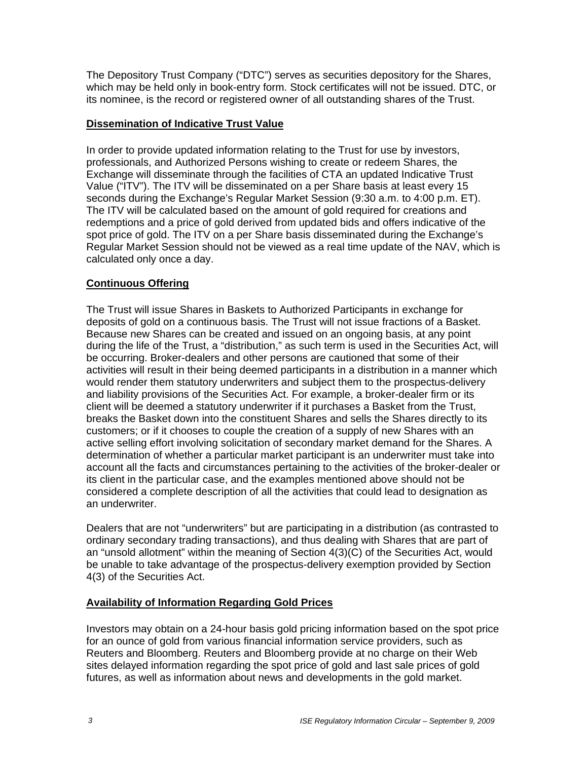The Depository Trust Company ("DTC") serves as securities depository for the Shares, which may be held only in book-entry form. Stock certificates will not be issued. DTC, or its nominee, is the record or registered owner of all outstanding shares of the Trust.

# **Dissemination of Indicative Trust Value**

In order to provide updated information relating to the Trust for use by investors, professionals, and Authorized Persons wishing to create or redeem Shares, the Exchange will disseminate through the facilities of CTA an updated Indicative Trust Value ("ITV"). The ITV will be disseminated on a per Share basis at least every 15 seconds during the Exchange's Regular Market Session (9:30 a.m. to 4:00 p.m. ET). The ITV will be calculated based on the amount of gold required for creations and redemptions and a price of gold derived from updated bids and offers indicative of the spot price of gold. The ITV on a per Share basis disseminated during the Exchange's Regular Market Session should not be viewed as a real time update of the NAV, which is calculated only once a day.

# **Continuous Offering**

The Trust will issue Shares in Baskets to Authorized Participants in exchange for deposits of gold on a continuous basis. The Trust will not issue fractions of a Basket. Because new Shares can be created and issued on an ongoing basis, at any point during the life of the Trust, a "distribution," as such term is used in the Securities Act, will be occurring. Broker-dealers and other persons are cautioned that some of their activities will result in their being deemed participants in a distribution in a manner which would render them statutory underwriters and subject them to the prospectus-delivery and liability provisions of the Securities Act. For example, a broker-dealer firm or its client will be deemed a statutory underwriter if it purchases a Basket from the Trust, breaks the Basket down into the constituent Shares and sells the Shares directly to its customers; or if it chooses to couple the creation of a supply of new Shares with an active selling effort involving solicitation of secondary market demand for the Shares. A determination of whether a particular market participant is an underwriter must take into account all the facts and circumstances pertaining to the activities of the broker-dealer or its client in the particular case, and the examples mentioned above should not be considered a complete description of all the activities that could lead to designation as an underwriter.

Dealers that are not "underwriters" but are participating in a distribution (as contrasted to ordinary secondary trading transactions), and thus dealing with Shares that are part of an "unsold allotment" within the meaning of Section 4(3)(C) of the Securities Act, would be unable to take advantage of the prospectus-delivery exemption provided by Section 4(3) of the Securities Act.

## **Availability of Information Regarding Gold Prices**

Investors may obtain on a 24-hour basis gold pricing information based on the spot price for an ounce of gold from various financial information service providers, such as Reuters and Bloomberg. Reuters and Bloomberg provide at no charge on their Web sites delayed information regarding the spot price of gold and last sale prices of gold futures, as well as information about news and developments in the gold market.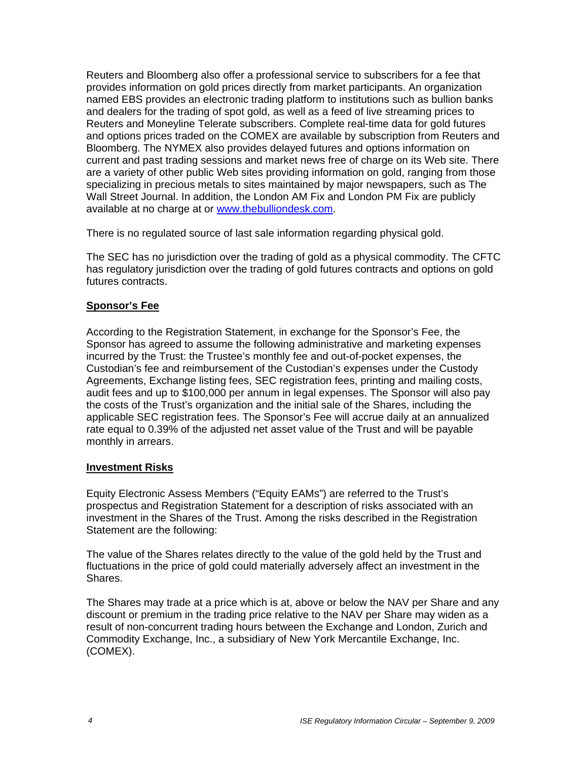Reuters and Bloomberg also offer a professional service to subscribers for a fee that provides information on gold prices directly from market participants. An organization named EBS provides an electronic trading platform to institutions such as bullion banks and dealers for the trading of spot gold, as well as a feed of live streaming prices to Reuters and Moneyline Telerate subscribers. Complete real-time data for gold futures and options prices traded on the COMEX are available by subscription from Reuters and Bloomberg. The NYMEX also provides delayed futures and options information on current and past trading sessions and market news free of charge on its Web site. There are a variety of other public Web sites providing information on gold, ranging from those specializing in precious metals to sites maintained by major newspapers, such as The Wall Street Journal. In addition, the London AM Fix and London PM Fix are publicly available at no charge at or www.thebulliondesk.com.

There is no regulated source of last sale information regarding physical gold.

The SEC has no jurisdiction over the trading of gold as a physical commodity. The CFTC has regulatory jurisdiction over the trading of gold futures contracts and options on gold futures contracts.

#### **Sponsor's Fee**

According to the Registration Statement, in exchange for the Sponsor's Fee, the Sponsor has agreed to assume the following administrative and marketing expenses incurred by the Trust: the Trustee's monthly fee and out-of-pocket expenses, the Custodian's fee and reimbursement of the Custodian's expenses under the Custody Agreements, Exchange listing fees, SEC registration fees, printing and mailing costs, audit fees and up to \$100,000 per annum in legal expenses. The Sponsor will also pay the costs of the Trust's organization and the initial sale of the Shares, including the applicable SEC registration fees. The Sponsor's Fee will accrue daily at an annualized rate equal to 0.39% of the adjusted net asset value of the Trust and will be payable monthly in arrears.

#### **Investment Risks**

Equity Electronic Assess Members ("Equity EAMs") are referred to the Trust's prospectus and Registration Statement for a description of risks associated with an investment in the Shares of the Trust. Among the risks described in the Registration Statement are the following:

The value of the Shares relates directly to the value of the gold held by the Trust and fluctuations in the price of gold could materially adversely affect an investment in the Shares.

The Shares may trade at a price which is at, above or below the NAV per Share and any discount or premium in the trading price relative to the NAV per Share may widen as a result of non-concurrent trading hours between the Exchange and London, Zurich and Commodity Exchange, Inc., a subsidiary of New York Mercantile Exchange, Inc. (COMEX).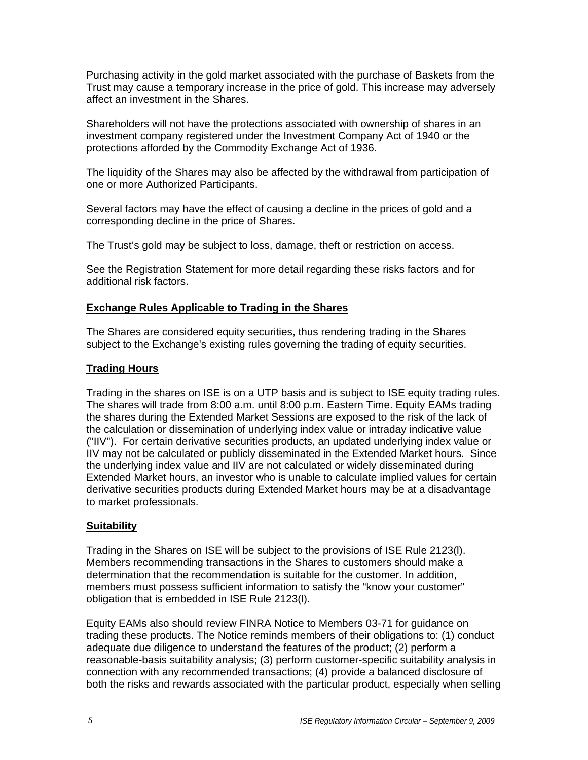Purchasing activity in the gold market associated with the purchase of Baskets from the Trust may cause a temporary increase in the price of gold. This increase may adversely affect an investment in the Shares.

Shareholders will not have the protections associated with ownership of shares in an investment company registered under the Investment Company Act of 1940 or the protections afforded by the Commodity Exchange Act of 1936.

The liquidity of the Shares may also be affected by the withdrawal from participation of one or more Authorized Participants.

Several factors may have the effect of causing a decline in the prices of gold and a corresponding decline in the price of Shares.

The Trust's gold may be subject to loss, damage, theft or restriction on access.

See the Registration Statement for more detail regarding these risks factors and for additional risk factors.

## **Exchange Rules Applicable to Trading in the Shares**

The Shares are considered equity securities, thus rendering trading in the Shares subject to the Exchange's existing rules governing the trading of equity securities.

## **Trading Hours**

Trading in the shares on ISE is on a UTP basis and is subject to ISE equity trading rules. The shares will trade from 8:00 a.m. until 8:00 p.m. Eastern Time. Equity EAMs trading the shares during the Extended Market Sessions are exposed to the risk of the lack of the calculation or dissemination of underlying index value or intraday indicative value ("IIV"). For certain derivative securities products, an updated underlying index value or IIV may not be calculated or publicly disseminated in the Extended Market hours. Since the underlying index value and IIV are not calculated or widely disseminated during Extended Market hours, an investor who is unable to calculate implied values for certain derivative securities products during Extended Market hours may be at a disadvantage to market professionals.

## **Suitability**

Trading in the Shares on ISE will be subject to the provisions of ISE Rule 2123(l). Members recommending transactions in the Shares to customers should make a determination that the recommendation is suitable for the customer. In addition, members must possess sufficient information to satisfy the "know your customer" obligation that is embedded in ISE Rule 2123(l).

Equity EAMs also should review FINRA Notice to Members 03-71 for guidance on trading these products. The Notice reminds members of their obligations to: (1) conduct adequate due diligence to understand the features of the product; (2) perform a reasonable-basis suitability analysis; (3) perform customer-specific suitability analysis in connection with any recommended transactions; (4) provide a balanced disclosure of both the risks and rewards associated with the particular product, especially when selling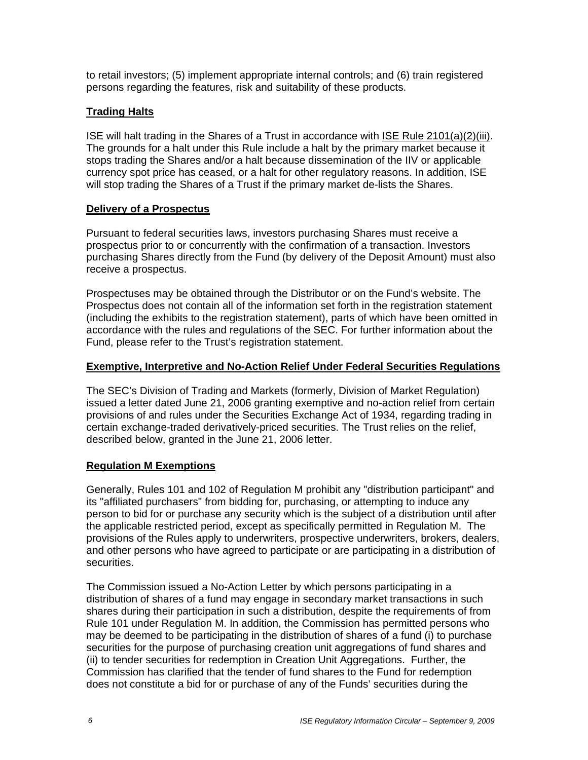to retail investors; (5) implement appropriate internal controls; and (6) train registered persons regarding the features, risk and suitability of these products.

# **Trading Halts**

ISE will halt trading in the Shares of a Trust in accordance with ISE Rule 2101(a)(2)(iii). The grounds for a halt under this Rule include a halt by the primary market because it stops trading the Shares and/or a halt because dissemination of the IIV or applicable currency spot price has ceased, or a halt for other regulatory reasons. In addition, ISE will stop trading the Shares of a Trust if the primary market de-lists the Shares.

## **Delivery of a Prospectus**

Pursuant to federal securities laws, investors purchasing Shares must receive a prospectus prior to or concurrently with the confirmation of a transaction. Investors purchasing Shares directly from the Fund (by delivery of the Deposit Amount) must also receive a prospectus.

Prospectuses may be obtained through the Distributor or on the Fund's website. The Prospectus does not contain all of the information set forth in the registration statement (including the exhibits to the registration statement), parts of which have been omitted in accordance with the rules and regulations of the SEC. For further information about the Fund, please refer to the Trust's registration statement.

# **Exemptive, Interpretive and No-Action Relief Under Federal Securities Regulations**

The SEC's Division of Trading and Markets (formerly, Division of Market Regulation) issued a letter dated June 21, 2006 granting exemptive and no-action relief from certain provisions of and rules under the Securities Exchange Act of 1934, regarding trading in certain exchange-traded derivatively-priced securities. The Trust relies on the relief, described below, granted in the June 21, 2006 letter.

## **Regulation M Exemptions**

Generally, Rules 101 and 102 of Regulation M prohibit any "distribution participant" and its "affiliated purchasers" from bidding for, purchasing, or attempting to induce any person to bid for or purchase any security which is the subject of a distribution until after the applicable restricted period, except as specifically permitted in Regulation M. The provisions of the Rules apply to underwriters, prospective underwriters, brokers, dealers, and other persons who have agreed to participate or are participating in a distribution of securities.

The Commission issued a No-Action Letter by which persons participating in a distribution of shares of a fund may engage in secondary market transactions in such shares during their participation in such a distribution, despite the requirements of from Rule 101 under Regulation M. In addition, the Commission has permitted persons who may be deemed to be participating in the distribution of shares of a fund (i) to purchase securities for the purpose of purchasing creation unit aggregations of fund shares and (ii) to tender securities for redemption in Creation Unit Aggregations. Further, the Commission has clarified that the tender of fund shares to the Fund for redemption does not constitute a bid for or purchase of any of the Funds' securities during the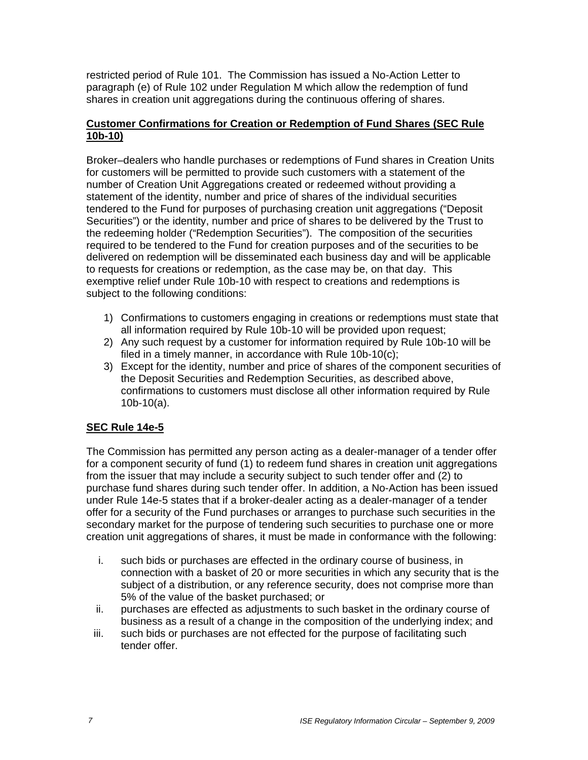restricted period of Rule 101. The Commission has issued a No-Action Letter to paragraph (e) of Rule 102 under Regulation M which allow the redemption of fund shares in creation unit aggregations during the continuous offering of shares.

# **Customer Confirmations for Creation or Redemption of Fund Shares (SEC Rule 10b-10)**

Broker–dealers who handle purchases or redemptions of Fund shares in Creation Units for customers will be permitted to provide such customers with a statement of the number of Creation Unit Aggregations created or redeemed without providing a statement of the identity, number and price of shares of the individual securities tendered to the Fund for purposes of purchasing creation unit aggregations ("Deposit Securities") or the identity, number and price of shares to be delivered by the Trust to the redeeming holder ("Redemption Securities"). The composition of the securities required to be tendered to the Fund for creation purposes and of the securities to be delivered on redemption will be disseminated each business day and will be applicable to requests for creations or redemption, as the case may be, on that day. This exemptive relief under Rule 10b-10 with respect to creations and redemptions is subject to the following conditions:

- 1) Confirmations to customers engaging in creations or redemptions must state that all information required by Rule 10b-10 will be provided upon request;
- 2) Any such request by a customer for information required by Rule 10b-10 will be filed in a timely manner, in accordance with Rule 10b-10(c);
- 3) Except for the identity, number and price of shares of the component securities of the Deposit Securities and Redemption Securities, as described above, confirmations to customers must disclose all other information required by Rule 10b-10(a).

# **SEC Rule 14e-5**

The Commission has permitted any person acting as a dealer-manager of a tender offer for a component security of fund (1) to redeem fund shares in creation unit aggregations from the issuer that may include a security subject to such tender offer and (2) to purchase fund shares during such tender offer. In addition, a No-Action has been issued under Rule 14e-5 states that if a broker-dealer acting as a dealer-manager of a tender offer for a security of the Fund purchases or arranges to purchase such securities in the secondary market for the purpose of tendering such securities to purchase one or more creation unit aggregations of shares, it must be made in conformance with the following:

- i. such bids or purchases are effected in the ordinary course of business, in connection with a basket of 20 or more securities in which any security that is the subject of a distribution, or any reference security, does not comprise more than 5% of the value of the basket purchased; or
- ii. purchases are effected as adjustments to such basket in the ordinary course of business as a result of a change in the composition of the underlying index; and
- iii. such bids or purchases are not effected for the purpose of facilitating such tender offer.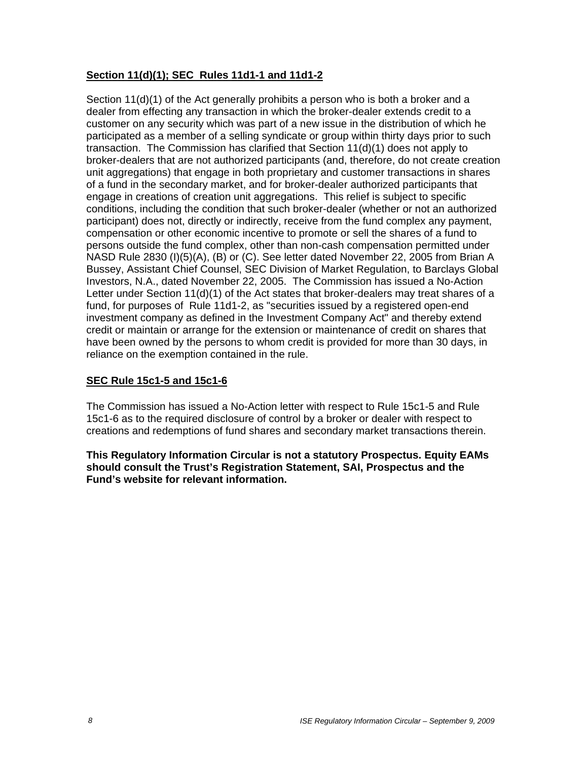# **Section 11(d)(1); SEC Rules 11d1-1 and 11d1-2**

Section 11(d)(1) of the Act generally prohibits a person who is both a broker and a dealer from effecting any transaction in which the broker-dealer extends credit to a customer on any security which was part of a new issue in the distribution of which he participated as a member of a selling syndicate or group within thirty days prior to such transaction. The Commission has clarified that Section 11(d)(1) does not apply to broker-dealers that are not authorized participants (and, therefore, do not create creation unit aggregations) that engage in both proprietary and customer transactions in shares of a fund in the secondary market, and for broker-dealer authorized participants that engage in creations of creation unit aggregations. This relief is subject to specific conditions, including the condition that such broker-dealer (whether or not an authorized participant) does not, directly or indirectly, receive from the fund complex any payment, compensation or other economic incentive to promote or sell the shares of a fund to persons outside the fund complex, other than non-cash compensation permitted under NASD Rule 2830 (I)(5)(A), (B) or (C). See letter dated November 22, 2005 from Brian A Bussey, Assistant Chief Counsel, SEC Division of Market Regulation, to Barclays Global Investors, N.A., dated November 22, 2005. The Commission has issued a No-Action Letter under Section 11(d)(1) of the Act states that broker-dealers may treat shares of a fund, for purposes of Rule 11d1-2, as "securities issued by a registered open-end investment company as defined in the Investment Company Act" and thereby extend credit or maintain or arrange for the extension or maintenance of credit on shares that have been owned by the persons to whom credit is provided for more than 30 days, in reliance on the exemption contained in the rule.

## **SEC Rule 15c1-5 and 15c1-6**

The Commission has issued a No-Action letter with respect to Rule 15c1-5 and Rule 15c1-6 as to the required disclosure of control by a broker or dealer with respect to creations and redemptions of fund shares and secondary market transactions therein.

**This Regulatory Information Circular is not a statutory Prospectus. Equity EAMs should consult the Trust's Registration Statement, SAI, Prospectus and the Fund's website for relevant information.**